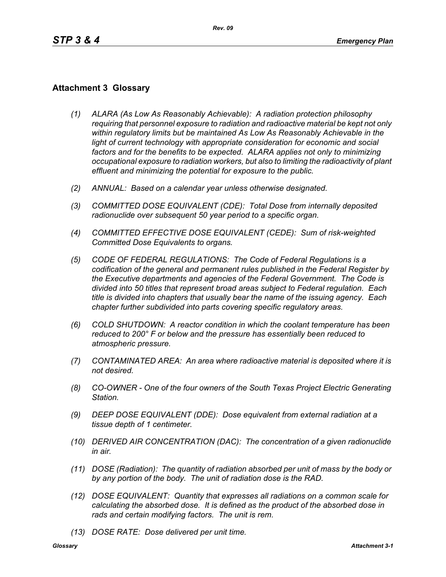## **Attachment 3 Glossary**

- *(1) ALARA (As Low As Reasonably Achievable): A radiation protection philosophy requiring that personnel exposure to radiation and radioactive material be kept not only within regulatory limits but be maintained As Low As Reasonably Achievable in the*  light of current technology with appropriate consideration for economic and social *factors and for the benefits to be expected. ALARA applies not only to minimizing occupational exposure to radiation workers, but also to limiting the radioactivity of plant effluent and minimizing the potential for exposure to the public.*
- *(2) ANNUAL: Based on a calendar year unless otherwise designated.*
- *(3) COMMITTED DOSE EQUIVALENT (CDE): Total Dose from internally deposited radionuclide over subsequent 50 year period to a specific organ.*
- *(4) COMMITTED EFFECTIVE DOSE EQUIVALENT (CEDE): Sum of risk-weighted Committed Dose Equivalents to organs.*
- *(5) CODE OF FEDERAL REGULATIONS: The Code of Federal Regulations is a codification of the general and permanent rules published in the Federal Register by the Executive departments and agencies of the Federal Government. The Code is divided into 50 titles that represent broad areas subject to Federal regulation. Each title is divided into chapters that usually bear the name of the issuing agency. Each chapter further subdivided into parts covering specific regulatory areas.*
- *(6) COLD SHUTDOWN: A reactor condition in which the coolant temperature has been reduced to 200° F or below and the pressure has essentially been reduced to atmospheric pressure.*
- *(7) CONTAMINATED AREA: An area where radioactive material is deposited where it is not desired.*
- *(8) CO-OWNER One of the four owners of the South Texas Project Electric Generating Station.*
- *(9) DEEP DOSE EQUIVALENT (DDE): Dose equivalent from external radiation at a tissue depth of 1 centimeter.*
- *(10) DERIVED AIR CONCENTRATION (DAC): The concentration of a given radionuclide in air.*
- *(11) DOSE (Radiation): The quantity of radiation absorbed per unit of mass by the body or by any portion of the body. The unit of radiation dose is the RAD.*
- *(12) DOSE EQUIVALENT: Quantity that expresses all radiations on a common scale for calculating the absorbed dose. It is defined as the product of the absorbed dose in rads and certain modifying factors. The unit is rem.*
- *(13) DOSE RATE: Dose delivered per unit time.*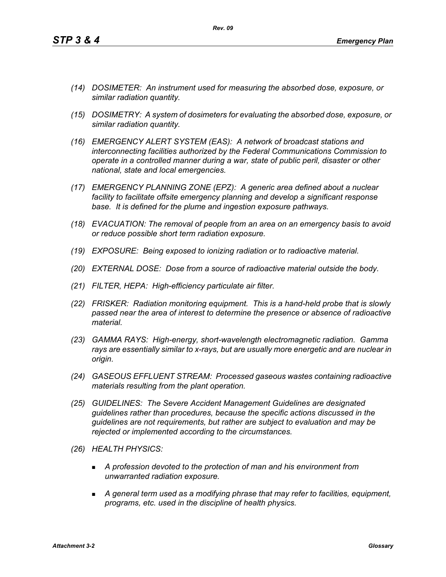*A general term used as a modifying phrase that may refer to facilities, equipment, programs, etc. used in the discipline of health physics.*

- *(14) DOSIMETER: An instrument used for measuring the absorbed dose, exposure, or similar radiation quantity.*
- *(15) DOSIMETRY: A system of dosimeters for evaluating the absorbed dose, exposure, or similar radiation quantity.*
- *(16) EMERGENCY ALERT SYSTEM (EAS): A network of broadcast stations and interconnecting facilities authorized by the Federal Communications Commission to operate in a controlled manner during a war, state of public peril, disaster or other national, state and local emergencies.*
- *(17) EMERGENCY PLANNING ZONE (EPZ): A generic area defined about a nuclear facility to facilitate offsite emergency planning and develop a significant response base. It is defined for the plume and ingestion exposure pathways.*
- *(18) EVACUATION: The removal of people from an area on an emergency basis to avoid or reduce possible short term radiation exposure.*
- *(19) EXPOSURE: Being exposed to ionizing radiation or to radioactive material.*
- *(20) EXTERNAL DOSE: Dose from a source of radioactive material outside the body.*
- *(21) FILTER, HEPA: High-efficiency particulate air filter.*
- *(22) FRISKER: Radiation monitoring equipment. This is a hand-held probe that is slowly passed near the area of interest to determine the presence or absence of radioactive material.*
- *(23) GAMMA RAYS: High-energy, short-wavelength electromagnetic radiation. Gamma rays are essentially similar to x-rays, but are usually more energetic and are nuclear in origin.*
- *(24) GASEOUS EFFLUENT STREAM: Processed gaseous wastes containing radioactive materials resulting from the plant operation.*
- *(25) GUIDELINES: The Severe Accident Management Guidelines are designated guidelines rather than procedures, because the specific actions discussed in the guidelines are not requirements, but rather are subject to evaluation and may be rejected or implemented according to the circumstances.*
- *(26) HEALTH PHYSICS:*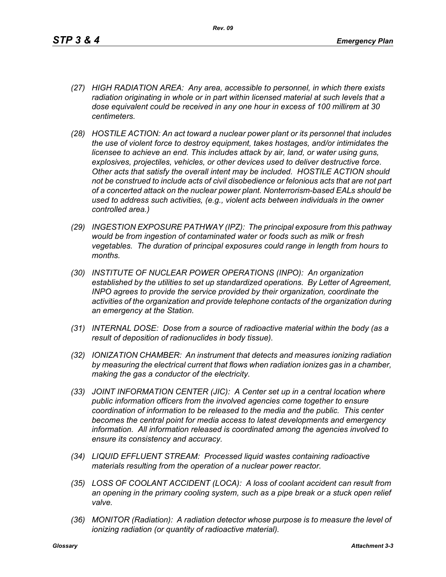- *(27) HIGH RADIATION AREA: Any area, accessible to personnel, in which there exists radiation originating in whole or in part within licensed material at such levels that a dose equivalent could be received in any one hour in excess of 100 millirem at 30 centimeters.*
- *(28) HOSTILE ACTION: An act toward a nuclear power plant or its personnel that includes the use of violent force to destroy equipment, takes hostages, and/or intimidates the licensee to achieve an end. This includes attack by air, land, or water using guns, explosives, projectiles, vehicles, or other devices used to deliver destructive force. Other acts that satisfy the overall intent may be included. HOSTILE ACTION should not be construed to include acts of civil disobedience or felonious acts that are not part of a concerted attack on the nuclear power plant. Nonterrorism-based EALs should be used to address such activities, (e.g., violent acts between individuals in the owner controlled area.)*
- *(29) INGESTION EXPOSURE PATHWAY (IPZ): The principal exposure from this pathway would be from ingestion of contaminated water or foods such as milk or fresh vegetables. The duration of principal exposures could range in length from hours to months.*
- *(30) INSTITUTE OF NUCLEAR POWER OPERATIONS (INPO): An organization established by the utilities to set up standardized operations. By Letter of Agreement, INPO agrees to provide the service provided by their organization, coordinate the activities of the organization and provide telephone contacts of the organization during an emergency at the Station.*
- *(31) INTERNAL DOSE: Dose from a source of radioactive material within the body (as a result of deposition of radionuclides in body tissue).*
- *(32) IONIZATION CHAMBER: An instrument that detects and measures ionizing radiation by measuring the electrical current that flows when radiation ionizes gas in a chamber, making the gas a conductor of the electricity.*
- *(33) JOINT INFORMATION CENTER (JIC): A Center set up in a central location where public information officers from the involved agencies come together to ensure coordination of information to be released to the media and the public. This center becomes the central point for media access to latest developments and emergency information. All information released is coordinated among the agencies involved to ensure its consistency and accuracy.*
- *(34) LIQUID EFFLUENT STREAM: Processed liquid wastes containing radioactive materials resulting from the operation of a nuclear power reactor.*
- *(35) LOSS OF COOLANT ACCIDENT (LOCA): A loss of coolant accident can result from an opening in the primary cooling system, such as a pipe break or a stuck open relief valve.*
- *(36) MONITOR (Radiation): A radiation detector whose purpose is to measure the level of ionizing radiation (or quantity of radioactive material).*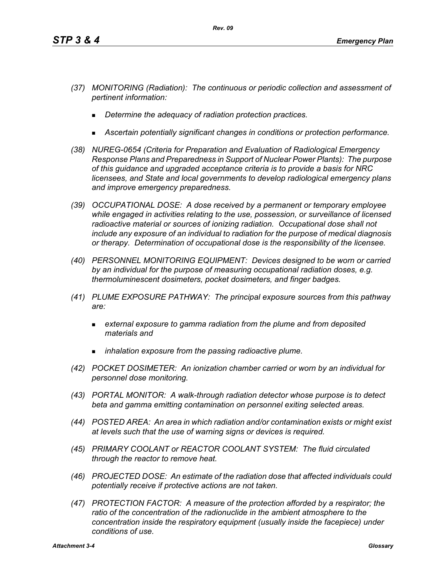- *(37) MONITORING (Radiation): The continuous or periodic collection and assessment of pertinent information:*
	- *Determine the adequacy of radiation protection practices.*
	- *Ascertain potentially significant changes in conditions or protection performance.*
- *(38) NUREG-0654 (Criteria for Preparation and Evaluation of Radiological Emergency Response Plans and Preparedness in Support of Nuclear Power Plants): The purpose of this guidance and upgraded acceptance criteria is to provide a basis for NRC licensees, and State and local governments to develop radiological emergency plans and improve emergency preparedness.*
- *(39) OCCUPATIONAL DOSE: A dose received by a permanent or temporary employee while engaged in activities relating to the use, possession, or surveillance of licensed radioactive material or sources of ionizing radiation. Occupational dose shall not include any exposure of an individual to radiation for the purpose of medical diagnosis or therapy. Determination of occupational dose is the responsibility of the licensee.*
- *(40) PERSONNEL MONITORING EQUIPMENT: Devices designed to be worn or carried by an individual for the purpose of measuring occupational radiation doses, e.g. thermoluminescent dosimeters, pocket dosimeters, and finger badges.*
- *(41) PLUME EXPOSURE PATHWAY: The principal exposure sources from this pathway are:*
	- *external exposure to gamma radiation from the plume and from deposited materials and*
	- *inhalation exposure from the passing radioactive plume.*
- *(42) POCKET DOSIMETER: An ionization chamber carried or worn by an individual for personnel dose monitoring.*
- *(43) PORTAL MONITOR: A walk-through radiation detector whose purpose is to detect beta and gamma emitting contamination on personnel exiting selected areas.*
- *(44) POSTED AREA: An area in which radiation and/or contamination exists or might exist at levels such that the use of warning signs or devices is required.*
- *(45) PRIMARY COOLANT or REACTOR COOLANT SYSTEM: The fluid circulated through the reactor to remove heat.*
- *(46) PROJECTED DOSE: An estimate of the radiation dose that affected individuals could potentially receive if protective actions are not taken.*
- *(47) PROTECTION FACTOR: A measure of the protection afforded by a respirator; the*  ratio of the concentration of the radionuclide in the ambient atmosphere to the *concentration inside the respiratory equipment (usually inside the facepiece) under conditions of use.*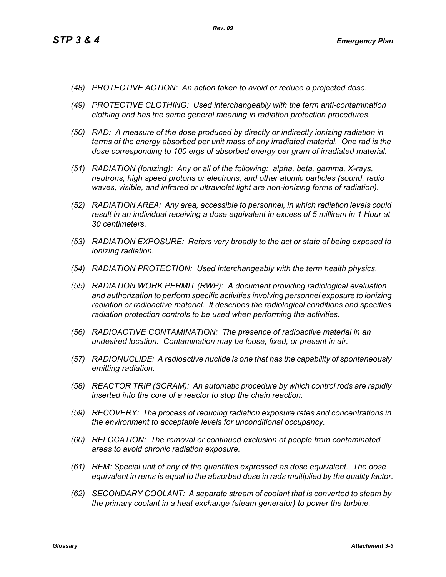- *(48) PROTECTIVE ACTION: An action taken to avoid or reduce a projected dose.*
- *(49) PROTECTIVE CLOTHING: Used interchangeably with the term anti-contamination clothing and has the same general meaning in radiation protection procedures.*
- *(50) RAD: A measure of the dose produced by directly or indirectly ionizing radiation in terms of the energy absorbed per unit mass of any irradiated material. One rad is the dose corresponding to 100 ergs of absorbed energy per gram of irradiated material.*
- *(51) RADIATION (Ionizing): Any or all of the following: alpha, beta, gamma, X-rays, neutrons, high speed protons or electrons, and other atomic particles (sound, radio waves, visible, and infrared or ultraviolet light are non-ionizing forms of radiation).*
- *(52) RADIATION AREA: Any area, accessible to personnel, in which radiation levels could result in an individual receiving a dose equivalent in excess of 5 millirem in 1 Hour at 30 centimeters.*
- *(53) RADIATION EXPOSURE: Refers very broadly to the act or state of being exposed to ionizing radiation.*
- *(54) RADIATION PROTECTION: Used interchangeably with the term health physics.*
- *(55) RADIATION WORK PERMIT (RWP): A document providing radiological evaluation and authorization to perform specific activities involving personnel exposure to ionizing radiation or radioactive material. It describes the radiological conditions and specifies radiation protection controls to be used when performing the activities.*
- *(56) RADIOACTIVE CONTAMINATION: The presence of radioactive material in an undesired location. Contamination may be loose, fixed, or present in air.*
- *(57) RADIONUCLIDE: A radioactive nuclide is one that has the capability of spontaneously emitting radiation.*
- *(58) REACTOR TRIP (SCRAM): An automatic procedure by which control rods are rapidly inserted into the core of a reactor to stop the chain reaction.*
- *(59) RECOVERY: The process of reducing radiation exposure rates and concentrations in the environment to acceptable levels for unconditional occupancy.*
- *(60) RELOCATION: The removal or continued exclusion of people from contaminated areas to avoid chronic radiation exposure.*
- *(61) REM: Special unit of any of the quantities expressed as dose equivalent. The dose equivalent in rems is equal to the absorbed dose in rads multiplied by the quality factor.*
- *(62) SECONDARY COOLANT: A separate stream of coolant that is converted to steam by the primary coolant in a heat exchange (steam generator) to power the turbine.*